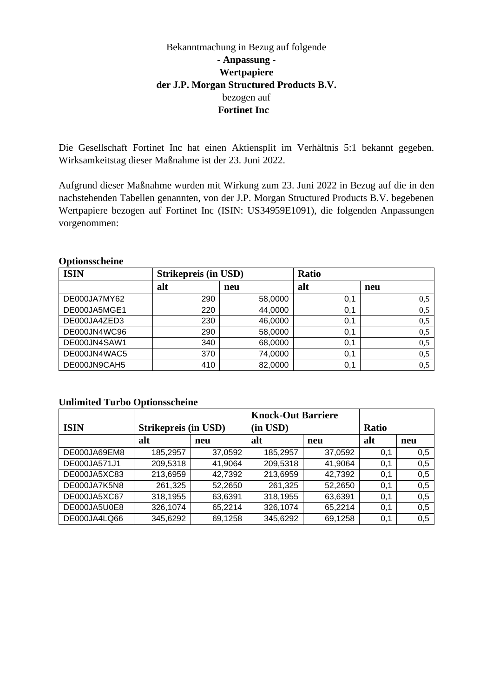# Bekanntmachung in Bezug auf folgende **- Anpassung - Wertpapiere der J.P. Morgan Structured Products B.V.** bezogen auf **Fortinet Inc**

Die Gesellschaft Fortinet Inc hat einen Aktiensplit im Verhältnis 5:1 bekannt gegeben. Wirksamkeitstag dieser Maßnahme ist der 23. Juni 2022.

Aufgrund dieser Maßnahme wurden mit Wirkung zum 23. Juni 2022 in Bezug auf die in den nachstehenden Tabellen genannten, von der J.P. Morgan Structured Products B.V. begebenen Wertpapiere bezogen auf Fortinet Inc (ISIN: US34959E1091), die folgenden Anpassungen vorgenommen:

### **Optionsscheine**

| <b>ISIN</b>  | <b>Strikepreis (in USD)</b> |         | <b>Ratio</b> |     |  |
|--------------|-----------------------------|---------|--------------|-----|--|
|              | alt                         | neu     | alt          | neu |  |
| DE000JA7MY62 | 290                         | 58,0000 | 0,1          | 0,5 |  |
| DE000JA5MGE1 | 220                         | 44,0000 | 0,1          | 0,5 |  |
| DE000JA4ZED3 | 230                         | 46,0000 | 0,1          | 0,5 |  |
| DE000JN4WC96 | 290                         | 58,0000 | 0,1          | 0,5 |  |
| DE000JN4SAW1 | 340                         | 68,0000 | 0,1          | 0,5 |  |
| DE000JN4WAC5 | 370                         | 74,0000 | 0,1          | 0,5 |  |
| DE000JN9CAH5 | 410                         | 82,0000 | 0,1          | 0,5 |  |

# **Unlimited Turbo Optionsscheine**

|              |                             |         | <b>Knock-Out Barriere</b> |         |              |     |
|--------------|-----------------------------|---------|---------------------------|---------|--------------|-----|
| <b>ISIN</b>  | <b>Strikepreis (in USD)</b> |         | (in USD)                  |         | <b>Ratio</b> |     |
|              | alt                         | neu     | alt                       | neu     | alt          | neu |
| DE000JA69EM8 | 185,2957                    | 37,0592 | 185,2957                  | 37,0592 | 0.1          | 0,5 |
| DE000JA571J1 | 209,5318                    | 41,9064 | 209,5318                  | 41,9064 | 0,1          | 0,5 |
| DE000JA5XC83 | 213,6959                    | 42,7392 | 213,6959                  | 42,7392 | 0,1          | 0,5 |
| DE000JA7K5N8 | 261,325                     | 52,2650 | 261,325                   | 52,2650 | 0,1          | 0,5 |
| DE000JA5XC67 | 318,1955                    | 63,6391 | 318,1955                  | 63,6391 | 0,1          | 0,5 |
| DE000JA5U0E8 | 326,1074                    | 65,2214 | 326,1074                  | 65,2214 | 0,1          | 0,5 |
| DE000JA4LQ66 | 345,6292                    | 69,1258 | 345,6292                  | 69,1258 | 0,1          | 0,5 |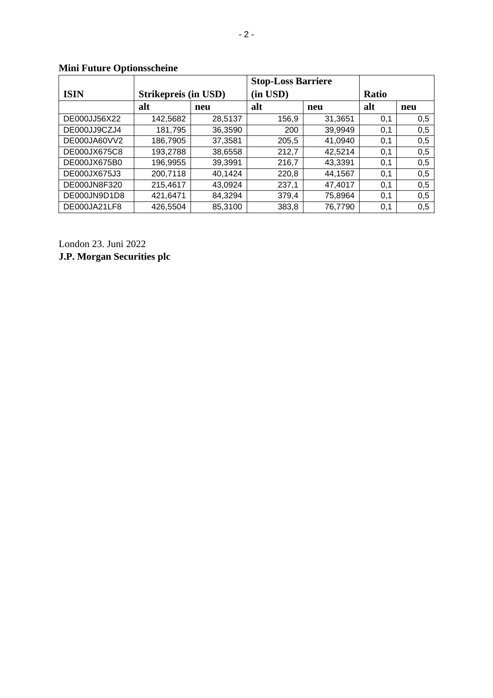|              |                      |         | <b>Stop-Loss Barriere</b> |         |              |     |
|--------------|----------------------|---------|---------------------------|---------|--------------|-----|
| <b>ISIN</b>  | Strikepreis (in USD) |         | (in USD)                  |         | <b>Ratio</b> |     |
|              | alt                  | neu     | alt                       | neu     | alt          | neu |
| DE000JJ56X22 | 142,5682             | 28,5137 | 156,9                     | 31,3651 | 0,1          | 0,5 |
| DE000JJ9CZJ4 | 181,795              | 36,3590 | 200                       | 39,9949 | 0,1          | 0,5 |
| DE000JA60VV2 | 186,7905             | 37,3581 | 205,5                     | 41,0940 | 0,1          | 0,5 |
| DE000JX675C8 | 193,2788             | 38,6558 | 212,7                     | 42,5214 | 0,1          | 0,5 |
| DE000JX675B0 | 196,9955             | 39.3991 | 216,7                     | 43,3391 | 0,1          | 0,5 |
| DE000JX675J3 | 200,7118             | 40,1424 | 220,8                     | 44,1567 | 0,1          | 0,5 |
| DE000JN8F320 | 215,4617             | 43,0924 | 237,1                     | 47,4017 | 0,1          | 0,5 |
| DE000JN9D1D8 | 421,6471             | 84,3294 | 379,4                     | 75,8964 | 0,1          | 0,5 |
| DE000JA21LF8 | 426,5504             | 85,3100 | 383,8                     | 76,7790 | 0,1          | 0,5 |

# **Mini Future Optionsscheine**

London 23. Juni 2022 **J.P. Morgan Securities plc**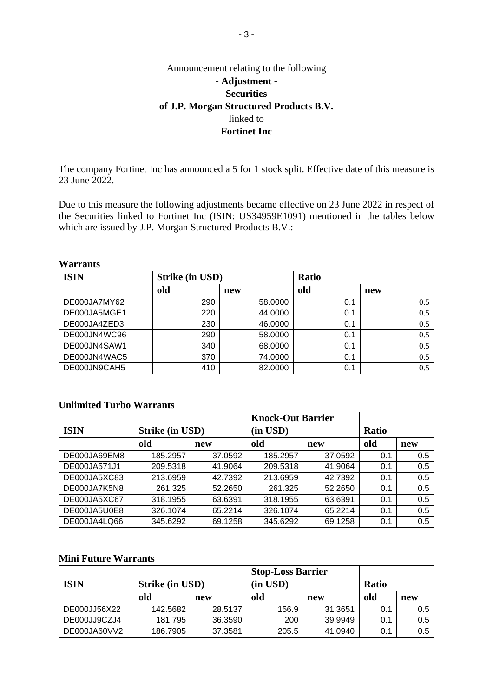# Announcement relating to the following **- Adjustment - Securities of J.P. Morgan Structured Products B.V.** linked to **Fortinet Inc**

The company Fortinet Inc has announced a 5 for 1 stock split. Effective date of this measure is 23 June 2022.

Due to this measure the following adjustments became effective on 23 June 2022 in respect of the Securities linked to Fortinet Inc (ISIN: US34959E1091) mentioned in the tables below which are issued by J.P. Morgan Structured Products B.V.:

#### **Warrants**

| <b>ISIN</b>  | <b>Strike (in USD)</b> |         | <b>Ratio</b> |     |  |
|--------------|------------------------|---------|--------------|-----|--|
|              | old                    | new     | old          | new |  |
| DE000JA7MY62 | 290                    | 58.0000 | 0.1          | 0.5 |  |
| DE000JA5MGE1 | 220                    | 44.0000 | 0.1          | 0.5 |  |
| DE000JA4ZED3 | 230                    | 46.0000 | 0.1          | 0.5 |  |
| DE000JN4WC96 | 290                    | 58.0000 | 0.1          | 0.5 |  |
| DE000JN4SAW1 | 340                    | 68.0000 | 0.1          | 0.5 |  |
| DE000JN4WAC5 | 370                    | 74.0000 | 0.1          | 0.5 |  |
| DE000JN9CAH5 | 410                    | 82.0000 | 0.1          | 0.5 |  |

# **Unlimited Turbo Warrants**

|              |                 |         | <b>Knock-Out Barrier</b> |         |              |     |
|--------------|-----------------|---------|--------------------------|---------|--------------|-----|
| <b>ISIN</b>  | Strike (in USD) |         | (in USD)                 |         | <b>Ratio</b> |     |
|              | old             | new     | old                      | new     | old          | new |
| DE000JA69EM8 | 185.2957        | 37.0592 | 185.2957                 | 37.0592 | 0.1          | 0.5 |
| DE000JA571J1 | 209.5318        | 41.9064 | 209.5318                 | 41.9064 | 0.1          | 0.5 |
| DE000JA5XC83 | 213.6959        | 42.7392 | 213.6959                 | 42.7392 | 0.1          | 0.5 |
| DE000JA7K5N8 | 261.325         | 52.2650 | 261.325                  | 52.2650 | 0.1          | 0.5 |
| DE000JA5XC67 | 318.1955        | 63.6391 | 318.1955                 | 63.6391 | 0.1          | 0.5 |
| DE000JA5U0E8 | 326.1074        | 65.2214 | 326.1074                 | 65.2214 | 0.1          | 0.5 |
| DE000JA4LQ66 | 345.6292        | 69.1258 | 345.6292                 | 69.1258 | 0.1          | 0.5 |

### **Mini Future Warrants**

|              |                 |         | <b>Stop-Loss Barrier</b> |         |              |     |
|--------------|-----------------|---------|--------------------------|---------|--------------|-----|
| <b>ISIN</b>  | Strike (in USD) |         | $(in$ $USD)$             |         | <b>Ratio</b> |     |
|              | old             | new     | old                      | new     | old          | new |
| DE000JJ56X22 | 142.5682        | 28.5137 | 156.9                    | 31.3651 | 0.1          | 0.5 |
| DE000JJ9CZJ4 | 181.795         | 36.3590 | 200                      | 39.9949 | 0.1          | 0.5 |
| DE000JA60VV2 | 186.7905        | 37.3581 | 205.5                    | 41.0940 | 0.1          | 0.5 |